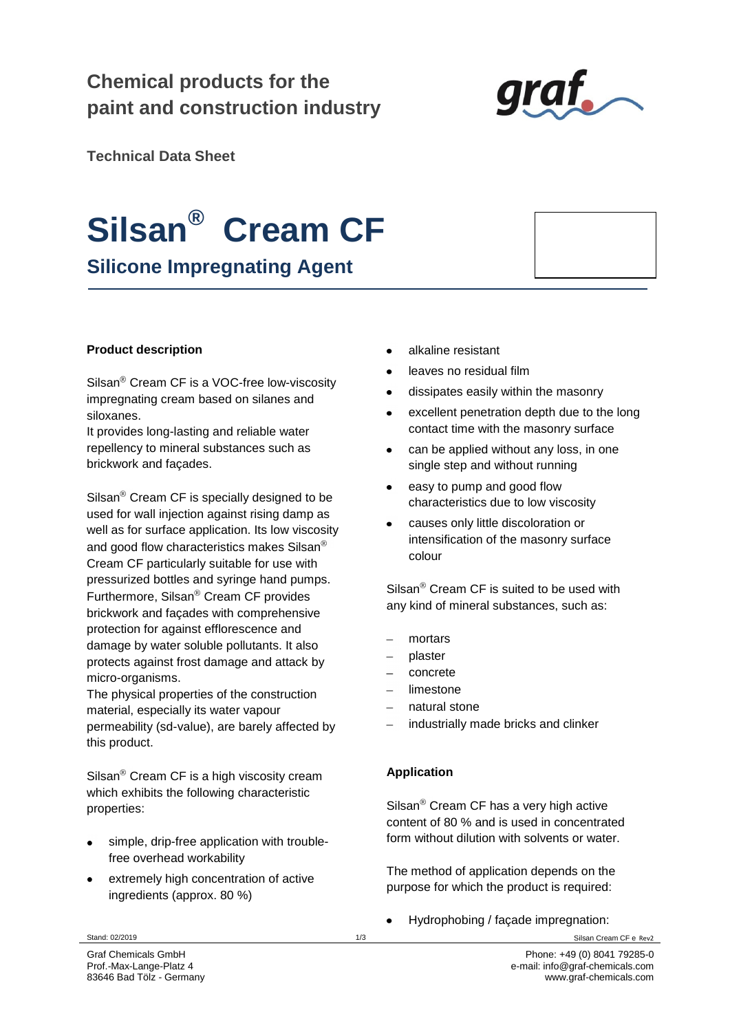# **Chemical products for the paint and construction industry**



**Technical Data Sheet**

# **Silsan® Cream CF**

**Silicone Impregnating Agent**

# **Product description**

Silsan<sup>®</sup> Cream CF is a VOC-free low-viscosity impregnating cream based on silanes and siloxanes.

It provides long-lasting and reliable water repellency to mineral substances such as brickwork and façades.

 $Silsan<sup>®</sup> Cream CF is specially designed to be$ used for wall injection against rising damp as well as for surface application. Its low viscosity and good flow characteristics makes Silsan<sup>®</sup> Cream CF particularly suitable for use with pressurized bottles and syringe hand pumps. Furthermore, Silsan<sup>®</sup> Cream CF provides brickwork and façades with comprehensive protection for against efflorescence and damage by water soluble pollutants. It also protects against frost damage and attack by micro-organisms.

The physical properties of the construction material, especially its water vapour permeability (sd-value), are barely affected by this product.

Silsan<sup>®</sup> Cream CF is a high viscosity cream which exhibits the following characteristic properties:

- simple, drip-free application with troublefree overhead workability
- extremely high concentration of active ingredients (approx. 80 %)
- alkaline resistant
- leaves no residual film
- dissipates easily within the masonry
- excellent penetration depth due to the long contact time with the masonry surface
- can be applied without any loss, in one  $\bullet$ single step and without running
- easy to pump and good flow characteristics due to low viscosity
- causes only little discoloration or intensification of the masonry surface colour

 $\text{Silsan}^{\circledR}$  Cream CF is suited to be used with any kind of mineral substances, such as:

- mortars
- plaster
- concrete
- limestone
- natural stone
- industrially made bricks and clinker

# **Application**

 $Silsan<sup>®</sup> Cream CF has a very high active$ content of 80 % and is used in concentrated form without dilution with solvents or water.

The method of application depends on the purpose for which the product is required:

Hydrophobing / façade impregnation:

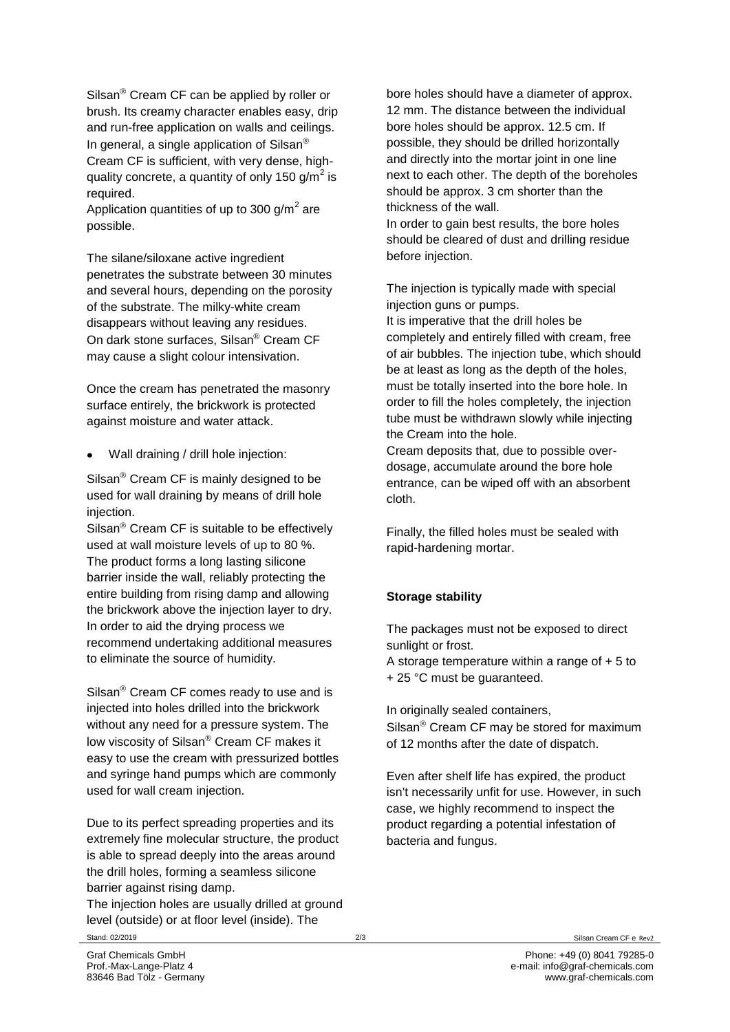Silsan $^{\circledR}$  Cream CF can be applied by roller or brush. Its creamy character enables easy, drip and run-free application on walls and ceilings. In general, a single application of Silsan<sup>®</sup> Cream CF is sufficient, with very dense, highquality concrete, a quantity of only 150 g/m<sup>2</sup> is required.

Application quantities of up to 300 g/m $^2$  are possible.

The silane/siloxane active ingredient penetrates the substrate between 30 minutes and several hours, depending on the porosity of the substrate. The milky-white cream disappears without leaving any residues. On dark stone surfaces, Silsan<sup>®</sup> Cream CF may cause a slight colour intensivation.

Once the cream has penetrated the masonry surface entirely, the brickwork is protected against moisture and water attack.

Wall draining / drill hole injection:

Silsan<sup>®</sup> Cream CF is mainly designed to be used for wall draining by means of drill hole injection.

Silsan<sup>®</sup> Cream CF is suitable to be effectively used at wall moisture levels of up to 80 %. The product forms a long lasting silicone barrier inside the wall, reliably protecting the entire building from rising damp and allowing the brickwork above the injection layer to dry. In order to aid the drying process we recommend undertaking additional measures to eliminate the source of humidity.

Silsan<sup>®</sup> Cream CF comes ready to use and is injected into holes drilled into the brickwork without any need for a pressure system. The low viscosity of Silsan<sup>®</sup> Cream CF makes it easy to use the cream with pressurized bottles and syringe hand pumps which are commonly used for wall cream injection.

Due to its perfect spreading properties and its extremely fine molecular structure, the product is able to spread deeply into the areas around the drill holes, forming a seamless silicone barrier against rising damp.

Stand: 02/2019 2/3 Silsan Cream CF e Rev2 The injection holes are usually drilled at ground level (outside) or at floor level (inside). The

bore holes should have a diameter of approx. 12 mm. The distance between the individual bore holes should be approx. 12.5 cm. If possible, they should be drilled horizontally and directly into the mortar joint in one line next to each other. The depth of the boreholes should be approx. 3 cm shorter than the thickness of the wall.

In order to gain best results, the bore holes should be cleared of dust and drilling residue before injection.

The injection is typically made with special injection guns or pumps.

It is imperative that the drill holes be completely and entirely filled with cream, free of air bubbles. The injection tube, which should be at least as long as the depth of the holes, must be totally inserted into the bore hole. In order to fill the holes completely, the injection tube must be withdrawn slowly while injecting the Cream into the hole.

Cream deposits that, due to possible overdosage, accumulate around the bore hole entrance, can be wiped off with an absorbent cloth.

Finally, the filled holes must be sealed with rapid-hardening mortar.

# **Storage stability**

The packages must not be exposed to direct sunlight or frost. A storage temperature within a range of  $+5$  to + 25 °C must be guaranteed.

In originally sealed containers,

Silsan $<sup>®</sup>$  Cream CF may be stored for maximum</sup> of 12 months after the date of dispatch.

Even after shelf life has expired, the product isn't necessarily unfit for use. However, in such case, we highly recommend to inspect the product regarding a potential infestation of bacteria and fungus.